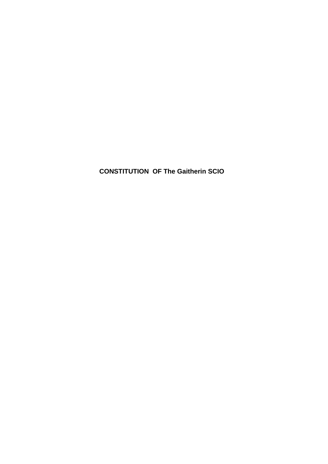**CONSTITUTION OF The Gaitherin SCIO**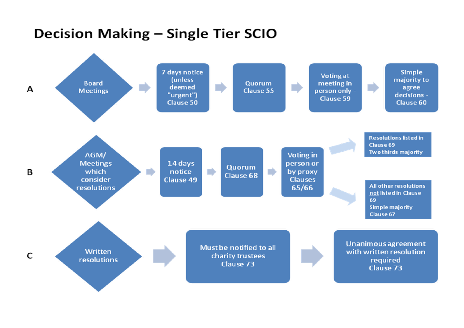# Decision Making - Single Tier SCIO

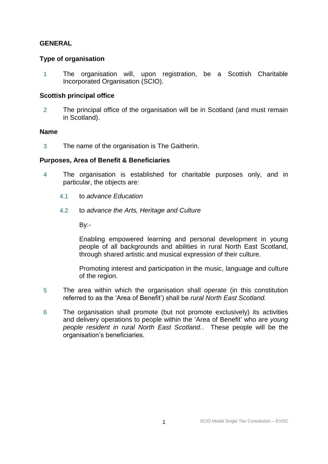# **GENERAL**

# **Type of organisation**

1 The organisation will, upon registration, be a Scottish Charitable Incorporated Organisation (SCIO).

## **Scottish principal office**

2 The principal office of the organisation will be in Scotland (and must remain in Scotland).

### **Name**

3 The name of the organisation is The Gaitherin.

# **Purposes, Area of Benefit & Beneficiaries**

- 4 The organisation is established for charitable purposes only, and in particular, the objects are:
	- 4.1 to *advance Education*
	- 4.2 to *advance the Arts, Heritage and Culture*

By:-

Enabling empowered learning and personal development in young people of all backgrounds and abilities in rural North East Scotland, through shared artistic and musical expression of their culture.

Promoting interest and participation in the music, language and culture of the region.

- 5 The area within which the organisation shall operate (in this constitution referred to as the 'Area of Benefit') shall be *rural North East Scotland.*
- 6 The organisation shall promote (but not promote exclusively) its activities and delivery operations to people within the 'Area of Benefit' who are *young people resident in rural North East Scotland.*. These people will be the organisation's beneficiaries.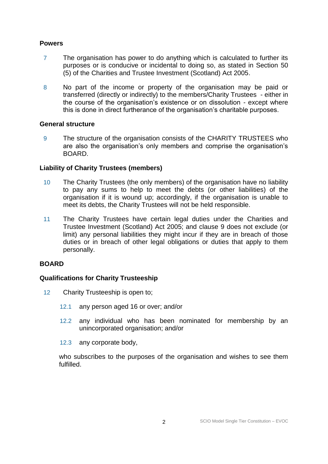# **Powers**

- 7 The organisation has power to do anything which is calculated to further its purposes or is conducive or incidental to doing so, as stated in Section 50 (5) of the Charities and Trustee Investment (Scotland) Act 2005.
- 8 No part of the income or property of the organisation may be paid or transferred (directly or indirectly) to the members/Charity Trustees - either in the course of the organisation's existence or on dissolution - except where this is done in direct furtherance of the organisation's charitable purposes.

### **General structure**

9 The structure of the organisation consists of the CHARITY TRUSTEES who are also the organisation's only members and comprise the organisation's BOARD.

## **Liability of Charity Trustees (members)**

- 10 The Charity Trustees (the only members) of the organisation have no liability to pay any sums to help to meet the debts (or other liabilities) of the organisation if it is wound up; accordingly, if the organisation is unable to meet its debts, the Charity Trustees will not be held responsible.
- 11 The Charity Trustees have certain legal duties under the Charities and Trustee Investment (Scotland) Act 2005; and clause 9 does not exclude (or limit) any personal liabilities they might incur if they are in breach of those duties or in breach of other legal obligations or duties that apply to them personally.

# **BOARD**

# **Qualifications for Charity Trusteeship**

- 12 Charity Trusteeship is open to;
	- 12.1 any person aged 16 or over; and/or
	- 12.2 any individual who has been nominated for membership by an unincorporated organisation; and/or
	- 12.3 any corporate body,

who subscribes to the purposes of the organisation and wishes to see them fulfilled.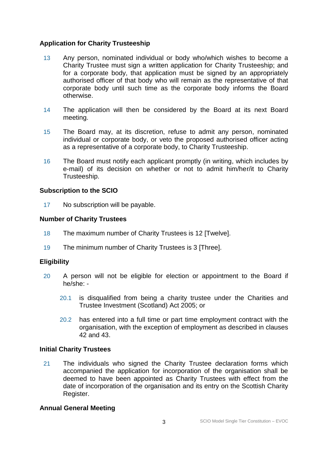# **Application for Charity Trusteeship**

- 13 Any person, nominated individual or body who/which wishes to become a Charity Trustee must sign a written application for Charity Trusteeship; and for a corporate body, that application must be signed by an appropriately authorised officer of that body who will remain as the representative of that corporate body until such time as the corporate body informs the Board otherwise.
- 14 The application will then be considered by the Board at its next Board meeting.
- 15 The Board may, at its discretion, refuse to admit any person, nominated individual or corporate body, or veto the proposed authorised officer acting as a representative of a corporate body, to Charity Trusteeship.
- 16 The Board must notify each applicant promptly (in writing, which includes by e-mail) of its decision on whether or not to admit him/her/it to Charity Trusteeship.

# **Subscription to the SCIO**

17 No subscription will be payable.

# **Number of Charity Trustees**

- 18 The maximum number of Charity Trustees is 12 [Twelve].
- 19 The minimum number of Charity Trustees is 3 [Three].

# **Eligibility**

- 20 A person will not be eligible for election or appointment to the Board if he/she: -
	- 20.1 is disqualified from being a charity trustee under the Charities and Trustee Investment (Scotland) Act 2005; or
	- 20.2 has entered into a full time or part time employment contract with the organisation, with the exception of employment as described in clauses 42 and 43.

# **Initial Charity Trustees**

21 The individuals who signed the Charity Trustee declaration forms which accompanied the application for incorporation of the organisation shall be deemed to have been appointed as Charity Trustees with effect from the date of incorporation of the organisation and its entry on the Scottish Charity Register.

# **Annual General Meeting**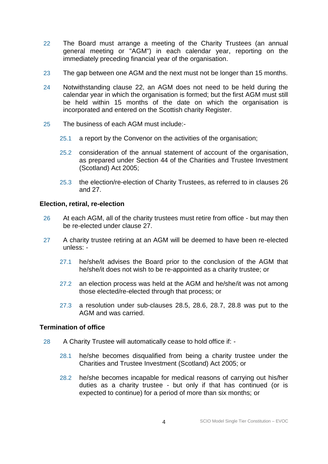- 22 The Board must arrange a meeting of the Charity Trustees (an annual general meeting or "AGM") in each calendar year, reporting on the immediately preceding financial year of the organisation.
- 23 The gap between one AGM and the next must not be longer than 15 months.
- 24 Notwithstanding clause 22, an AGM does not need to be held during the calendar year in which the organisation is formed; but the first AGM must still be held within 15 months of the date on which the organisation is incorporated and entered on the Scottish charity Register.
- 25 The business of each AGM must include:-
	- 25.1 a report by the Convenor on the activities of the organisation;
	- 25.2 consideration of the annual statement of account of the organisation, as prepared under Section 44 of the Charities and Trustee Investment (Scotland) Act 2005;
	- 25.3 the election/re-election of Charity Trustees, as referred to in clauses 26 and 27.

## **Election, retiral, re-election**

- 26 At each AGM, all of the charity trustees must retire from office but may then be re-elected under clause 27.
- 27 A charity trustee retiring at an AGM will be deemed to have been re-elected unless: -
	- 27.1 he/she/it advises the Board prior to the conclusion of the AGM that he/she/it does not wish to be re-appointed as a charity trustee; or
	- 27.2 an election process was held at the AGM and he/she/it was not among those elected/re-elected through that process; or
	- 27.3 a resolution under sub-clauses 28.5, 28.6, 28.7, 28.8 was put to the AGM and was carried.

# **Termination of office**

- 28 A Charity Trustee will automatically cease to hold office if:
	- 28.1 he/she becomes disqualified from being a charity trustee under the Charities and Trustee Investment (Scotland) Act 2005; or
	- 28.2 he/she becomes incapable for medical reasons of carrying out his/her duties as a charity trustee - but only if that has continued (or is expected to continue) for a period of more than six months; or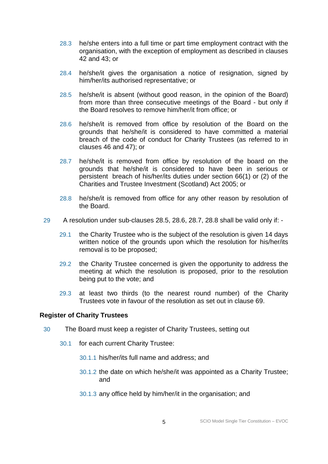- 28.3 he/she enters into a full time or part time employment contract with the organisation, with the exception of employment as described in clauses 42 and 43; or
- 28.4 he/she/it gives the organisation a notice of resignation, signed by him/her/its authorised representative; or
- 28.5 he/she/it is absent (without good reason, in the opinion of the Board) from more than three consecutive meetings of the Board - but only if the Board resolves to remove him/her/it from office; or
- 28.6 he/she/it is removed from office by resolution of the Board on the grounds that he/she/it is considered to have committed a material breach of the code of conduct for Charity Trustees (as referred to in clauses 46 and 47); or
- 28.7 he/she/it is removed from office by resolution of the board on the grounds that he/she/it is considered to have been in serious or persistent breach of his/her/its duties under section 66(1) or (2) of the Charities and Trustee Investment (Scotland) Act 2005; or
- 28.8 he/she/it is removed from office for any other reason by resolution of the Board.
- 29 A resolution under sub-clauses 28.5, 28.6, 28.7, 28.8 shall be valid only if:
	- 29.1 the Charity Trustee who is the subject of the resolution is given 14 days written notice of the grounds upon which the resolution for his/her/its removal is to be proposed;
	- 29.2 the Charity Trustee concerned is given the opportunity to address the meeting at which the resolution is proposed, prior to the resolution being put to the vote; and
	- 29.3 at least two thirds (to the nearest round number) of the Charity Trustees vote in favour of the resolution as set out in clause 69.

### **Register of Charity Trustees**

- 30 The Board must keep a register of Charity Trustees, setting out
	- 30.1 for each current Charity Trustee:
		- 30.1.1 his/her/its full name and address; and
		- 30.1.2 the date on which he/she/it was appointed as a Charity Trustee; and
		- 30.1.3 any office held by him/her/it in the organisation; and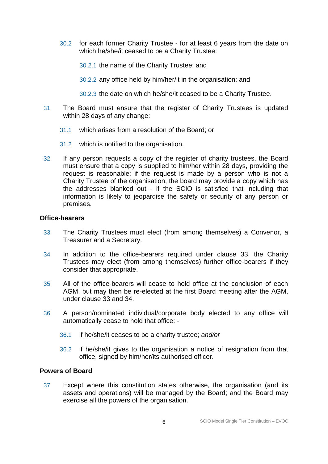30.2 for each former Charity Trustee - for at least 6 years from the date on which he/she/it ceased to be a Charity Trustee:

30.2.1 the name of the Charity Trustee; and

30.2.2 any office held by him/her/it in the organisation; and

30.2.3 the date on which he/she/it ceased to be a Charity Trustee.

- 31 The Board must ensure that the register of Charity Trustees is updated within 28 days of any change:
	- 31.1 which arises from a resolution of the Board; or
	- 31.2 which is notified to the organisation.
- 32 If any person requests a copy of the register of charity trustees, the Board must ensure that a copy is supplied to him/her within 28 days, providing the request is reasonable; if the request is made by a person who is not a Charity Trustee of the organisation, the board may provide a copy which has the addresses blanked out - if the SCIO is satisfied that including that information is likely to jeopardise the safety or security of any person or premises.

## **Office-bearers**

- 33 The Charity Trustees must elect (from among themselves) a Convenor, a Treasurer and a Secretary.
- 34 In addition to the office-bearers required under clause 33, the Charity Trustees may elect (from among themselves) further office-bearers if they consider that appropriate.
- 35 All of the office-bearers will cease to hold office at the conclusion of each AGM, but may then be re-elected at the first Board meeting after the AGM, under clause 33 and 34.
- 36 A person/nominated individual/corporate body elected to any office will automatically cease to hold that office: -
	- 36.1 if he/she/it ceases to be a charity trustee; *and/or*
	- 36.2 if he/she/it gives to the organisation a notice of resignation from that office, signed by him/her/its authorised officer.

# **Powers of Board**

37 Except where this constitution states otherwise, the organisation (and its assets and operations) will be managed by the Board; and the Board may exercise all the powers of the organisation.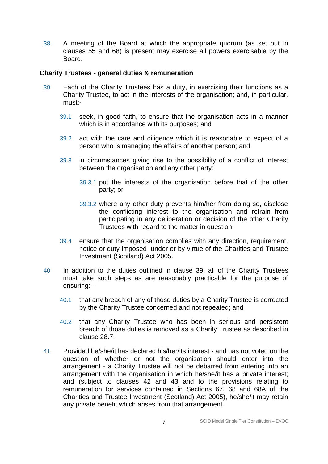38 A meeting of the Board at which the appropriate quorum (as set out in clauses 55 and 68) is present may exercise all powers exercisable by the Board.

### **Charity Trustees - general duties & remuneration**

- 39 Each of the Charity Trustees has a duty, in exercising their functions as a Charity Trustee, to act in the interests of the organisation; and, in particular, must:-
	- 39.1 seek, in good faith, to ensure that the organisation acts in a manner which is in accordance with its purposes; and
	- 39.2 act with the care and diligence which it is reasonable to expect of a person who is managing the affairs of another person; and
	- 39.3 in circumstances giving rise to the possibility of a conflict of interest between the organisation and any other party:
		- 39.3.1 put the interests of the organisation before that of the other party; or
		- 39.3.2 where any other duty prevents him/her from doing so, disclose the conflicting interest to the organisation and refrain from participating in any deliberation or decision of the other Charity Trustees with regard to the matter in question;
	- 39.4 ensure that the organisation complies with any direction, requirement, notice or duty imposed under or by virtue of the Charities and Trustee Investment (Scotland) Act 2005.
- 40 In addition to the duties outlined in clause 39, all of the Charity Trustees must take such steps as are reasonably practicable for the purpose of ensuring: -
	- 40.1 that any breach of any of those duties by a Charity Trustee is corrected by the Charity Trustee concerned and not repeated; and
	- 40.2 that any Charity Trustee who has been in serious and persistent breach of those duties is removed as a Charity Trustee as described in clause 28.7.
- 41 Provided he/she/it has declared his/her/its interest and has not voted on the question of whether or not the organisation should enter into the arrangement - a Charity Trustee will not be debarred from entering into an arrangement with the organisation in which he/she/it has a private interest; and (subject to clauses 42 and 43 and to the provisions relating to remuneration for services contained in Sections 67, 68 and 68A of the Charities and Trustee Investment (Scotland) Act 2005), he/she/it may retain any private benefit which arises from that arrangement.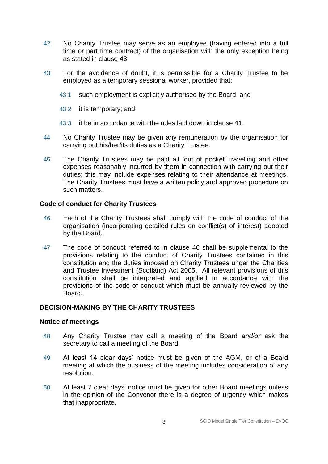- 42 No Charity Trustee may serve as an employee (having entered into a full time or part time contract) of the organisation with the only exception being as stated in clause 43.
- 43 For the avoidance of doubt, it is permissible for a Charity Trustee to be employed as a temporary sessional worker, provided that:
	- 43.1 such employment is explicitly authorised by the Board; and
	- 43.2 it is temporary; and
	- 43.3 it be in accordance with the rules laid down in clause 41.
- 44 No Charity Trustee may be given any remuneration by the organisation for carrying out his/her/its duties as a Charity Trustee.
- 45 The Charity Trustees may be paid all 'out of pocket' travelling and other expenses reasonably incurred by them in connection with carrying out their duties; this may include expenses relating to their attendance at meetings. The Charity Trustees must have a written policy and approved procedure on such matters.

## **Code of conduct for Charity Trustees**

- 46 Each of the Charity Trustees shall comply with the code of conduct of the organisation (incorporating detailed rules on conflict(s) of interest) adopted by the Board.
- 47 The code of conduct referred to in clause 46 shall be supplemental to the provisions relating to the conduct of Charity Trustees contained in this constitution and the duties imposed on Charity Trustees under the Charities and Trustee Investment (Scotland) Act 2005. All relevant provisions of this constitution shall be interpreted and applied in accordance with the provisions of the code of conduct which must be annually reviewed by the Board.

# **DECISION-MAKING BY THE CHARITY TRUSTEES**

### **Notice of meetings**

- 48 Any Charity Trustee may call a meeting of the Board *and/or* ask the secretary to call a meeting of the Board.
- 49 At least 14 clear days' notice must be given of the AGM, or of a Board meeting at which the business of the meeting includes consideration of any resolution.
- 50 At least 7 clear days' notice must be given for other Board meetings unless in the opinion of the Convenor there is a degree of urgency which makes that inappropriate.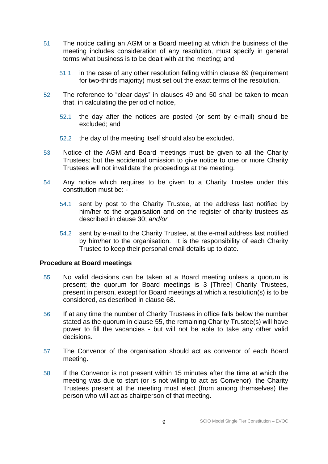- 51 The notice calling an AGM or a Board meeting at which the business of the meeting includes consideration of any resolution, must specify in general terms what business is to be dealt with at the meeting; and
	- 51.1 in the case of any other resolution falling within clause 69 (requirement for two-thirds majority) must set out the exact terms of the resolution.
- 52 The reference to "clear days" in clauses 49 and 50 shall be taken to mean that, in calculating the period of notice,
	- 52.1 the day after the notices are posted (or sent by e-mail) should be excluded; and
	- 52.2 the day of the meeting itself should also be excluded.
- 53 Notice of the AGM and Board meetings must be given to all the Charity Trustees; but the accidental omission to give notice to one or more Charity Trustees will not invalidate the proceedings at the meeting.
- 54 Any notice which requires to be given to a Charity Trustee under this constitution must be: -
	- 54.1 sent by post to the Charity Trustee, at the address last notified by him/her to the organisation and on the register of charity trustees as described in clause 30; *and/or*
	- 54.2 sent by e-mail to the Charity Trustee, at the e-mail address last notified by him/her to the organisation. It is the responsibility of each Charity Trustee to keep their personal email details up to date.

# **Procedure at Board meetings**

- 55 No valid decisions can be taken at a Board meeting unless a quorum is present; the quorum for Board meetings is 3 [Three] Charity Trustees, present in person, except for Board meetings at which a resolution(s) is to be considered, as described in clause 68.
- 56 If at any time the number of Charity Trustees in office falls below the number stated as the quorum in clause 55, the remaining Charity Trustee(s) will have power to fill the vacancies - but will not be able to take any other valid decisions.
- 57 The Convenor of the organisation should act as convenor of each Board meeting.
- 58 If the Convenor is not present within 15 minutes after the time at which the meeting was due to start (or is not willing to act as Convenor), the Charity Trustees present at the meeting must elect (from among themselves) the person who will act as chairperson of that meeting.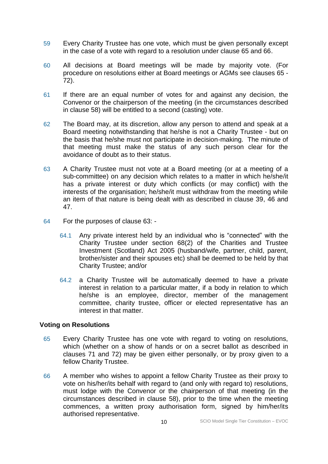- 59 Every Charity Trustee has one vote, which must be given personally except in the case of a vote with regard to a resolution under clause 65 and 66.
- 60 All decisions at Board meetings will be made by majority vote. (For procedure on resolutions either at Board meetings or AGMs see clauses 65 - 72).
- 61 If there are an equal number of votes for and against any decision, the Convenor or the chairperson of the meeting (in the circumstances described in clause 58) will be entitled to a second (casting) vote.
- 62 The Board may, at its discretion, allow any person to attend and speak at a Board meeting notwithstanding that he/she is not a Charity Trustee - but on the basis that he/she must not participate in decision-making. The minute of that meeting must make the status of any such person clear for the avoidance of doubt as to their status.
- 63 A Charity Trustee must not vote at a Board meeting (or at a meeting of a sub-committee) on any decision which relates to a matter in which he/she/it has a private interest or duty which conflicts (or may conflict) with the interests of the organisation; he/she/it must withdraw from the meeting while an item of that nature is being dealt with as described in clause 39, 46 and 47.
- 64 For the purposes of clause 63:
	- 64.1 Any private interest held by an individual who is "connected" with the Charity Trustee under section 68(2) of the Charities and Trustee Investment (Scotland) Act 2005 (husband/wife, partner, child, parent, brother/sister and their spouses etc) shall be deemed to be held by that Charity Trustee; and/or
	- 64.2 a Charity Trustee will be automatically deemed to have a private interest in relation to a particular matter, if a body in relation to which he/she is an employee, director, member of the management committee, charity trustee, officer or elected representative has an interest in that matter.

### **Voting on Resolutions**

- 65 Every Charity Trustee has one vote with regard to voting on resolutions, which (whether on a show of hands or on a secret ballot as described in clauses 71 and 72) may be given either personally, or by proxy given to a fellow Charity Trustee.
- 66 A member who wishes to appoint a fellow Charity Trustee as their proxy to vote on his/her/its behalf with regard to (and only with regard to) resolutions, must lodge with the Convenor or the chairperson of that meeting (in the circumstances described in clause 58), prior to the time when the meeting commences, a written proxy authorisation form, signed by him/her/its authorised representative.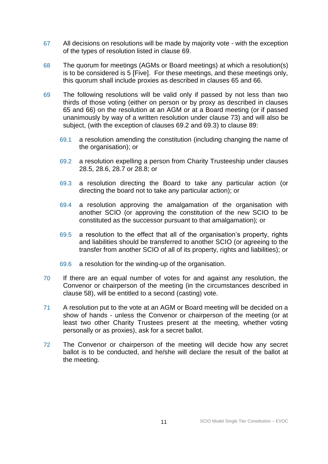- 67 All decisions on resolutions will be made by majority vote with the exception of the types of resolution listed in clause 69.
- 68 The quorum for meetings (AGMs or Board meetings) at which a resolution(s) is to be considered is 5 [Five]. For these meetings, and these meetings only, this quorum shall include proxies as described in clauses 65 and 66.
- 69 The following resolutions will be valid only if passed by not less than two thirds of those voting (either on person or by proxy as described in clauses 65 and 66) on the resolution at an AGM or at a Board meeting (or if passed unanimously by way of a written resolution under clause 73) and will also be subject, (with the exception of clauses 69.2 and 69.3) to clause 89:
	- 69.1 a resolution amending the constitution (including changing the name of the organisation); or
	- 69.2 a resolution expelling a person from Charity Trusteeship under clauses 28.5, 28.6, 28.7 or 28.8; or
	- 69.3 a resolution directing the Board to take any particular action (or directing the board not to take any particular action); or
	- 69.4 a resolution approving the amalgamation of the organisation with another SCIO (or approving the constitution of the new SCIO to be constituted as the successor pursuant to that amalgamation); or
	- 69.5 a resolution to the effect that all of the organisation's property, rights and liabilities should be transferred to another SCIO (or agreeing to the transfer from another SCIO of all of its property, rights and liabilities); or
	- 69.6 a resolution for the winding-up of the organisation.
- 70 If there are an equal number of votes for and against any resolution, the Convenor or chairperson of the meeting (in the circumstances described in clause 58), will be entitled to a second (casting) vote.
- 71 A resolution put to the vote at an AGM or Board meeting will be decided on a show of hands - unless the Convenor or chairperson of the meeting (or at least two other Charity Trustees present at the meeting, whether voting personally or as proxies), ask for a secret ballot.
- 72 The Convenor or chairperson of the meeting will decide how any secret ballot is to be conducted, and he/she will declare the result of the ballot at the meeting.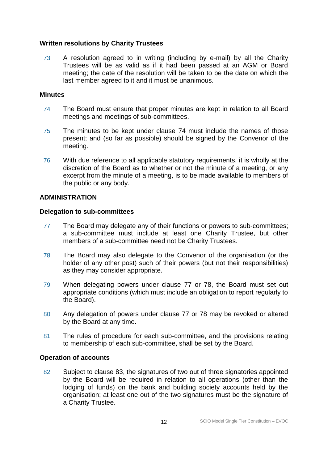# **Written resolutions by Charity Trustees**

73 A resolution agreed to in writing (including by e-mail) by all the Charity Trustees will be as valid as if it had been passed at an AGM or Board meeting; the date of the resolution will be taken to be the date on which the last member agreed to it and it must be unanimous.

## **Minutes**

- 74 The Board must ensure that proper minutes are kept in relation to all Board meetings and meetings of sub-committees.
- 75 The minutes to be kept under clause 74 must include the names of those present; and (so far as possible) should be signed by the Convenor of the meeting.
- 76 With due reference to all applicable statutory requirements, it is wholly at the discretion of the Board as to whether or not the minute of a meeting, or any excerpt from the minute of a meeting, is to be made available to members of the public or any body.

## **ADMINISTRATION**

### **Delegation to sub-committees**

- 77 The Board may delegate any of their functions or powers to sub-committees; a sub-committee must include at least one Charity Trustee, but other members of a sub-committee need not be Charity Trustees.
- 78 The Board may also delegate to the Convenor of the organisation (or the holder of any other post) such of their powers (but not their responsibilities) as they may consider appropriate.
- 79 When delegating powers under clause 77 or 78, the Board must set out appropriate conditions (which must include an obligation to report regularly to the Board).
- 80 Any delegation of powers under clause 77 or 78 may be revoked or altered by the Board at any time.
- 81 The rules of procedure for each sub-committee, and the provisions relating to membership of each sub-committee, shall be set by the Board.

# **Operation of accounts**

82 Subject to clause 83, the signatures of two out of three signatories appointed by the Board will be required in relation to all operations (other than the lodging of funds) on the bank and building society accounts held by the organisation; at least one out of the two signatures must be the signature of a Charity Trustee.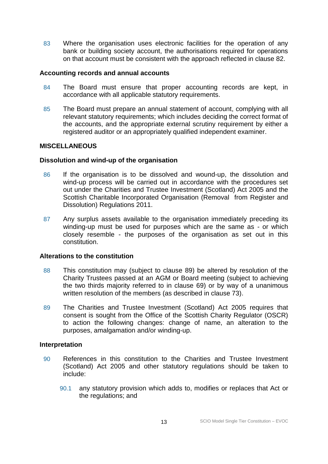83 Where the organisation uses electronic facilities for the operation of any bank or building society account, the authorisations required for operations on that account must be consistent with the approach reflected in clause 82.

## **Accounting records and annual accounts**

- 84 The Board must ensure that proper accounting records are kept, in accordance with all applicable statutory requirements.
- 85 The Board must prepare an annual statement of account, complying with all relevant statutory requirements; which includes deciding the correct format of the accounts, and the appropriate external scrutiny requirement by either a registered auditor or an appropriately qualified independent examiner.

# **MISCELLANEOUS**

## **Dissolution and wind-up of the organisation**

- 86 If the organisation is to be dissolved and wound-up, the dissolution and wind-up process will be carried out in accordance with the procedures set out under the Charities and Trustee Investment (Scotland) Act 2005 and the Scottish Charitable Incorporated Organisation (Removal from Register and Dissolution) Regulations 2011.
- 87 Any surplus assets available to the organisation immediately preceding its winding-up must be used for purposes which are the same as - or which closely resemble - the purposes of the organisation as set out in this constitution.

# **Alterations to the constitution**

- 88 This constitution may (subject to clause 89) be altered by resolution of the Charity Trustees passed at an AGM or Board meeting (subject to achieving the two thirds majority referred to in clause 69) or by way of a unanimous written resolution of the members (as described in clause 73).
- 89 The Charities and Trustee Investment (Scotland) Act 2005 requires that consent is sought from the Office of the Scottish Charity Regulator (OSCR) to action the following changes: change of name, an alteration to the purposes, amalgamation and/or winding-up.

### **Interpretation**

- 90 References in this constitution to the Charities and Trustee Investment (Scotland) Act 2005 and other statutory regulations should be taken to include:
	- 90.1 any statutory provision which adds to, modifies or replaces that Act or the regulations; and